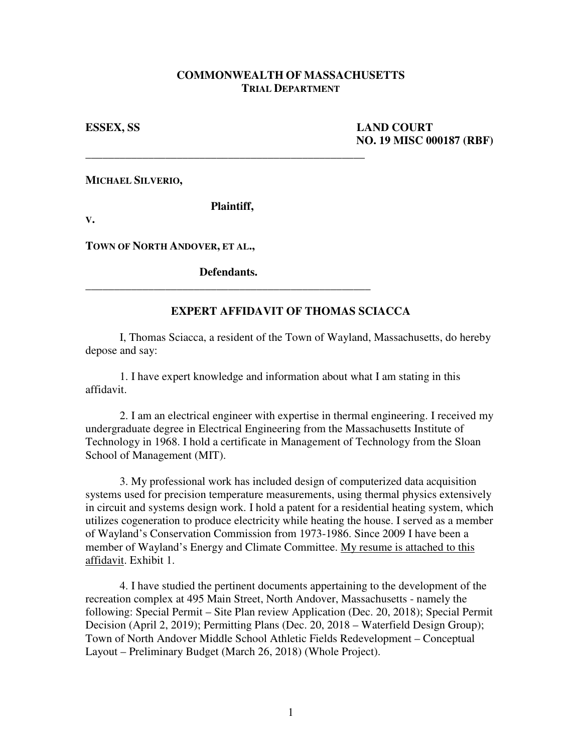## **COMMONWEALTH OF MASSACHUSETTS TRIAL DEPARTMENT**

**ESSEX, SS LAND COURT NO. 19 MISC 000187 (RBF)** 

**MICHAEL SILVERIO,** 

 **Plaintiff,** 

\_\_\_\_\_\_\_\_\_\_\_\_\_\_\_\_\_\_\_\_\_\_\_\_\_\_\_\_\_\_\_\_\_\_\_\_\_\_\_\_\_\_\_\_\_\_\_\_\_

**V.**

**TOWN OF NORTH ANDOVER, ET AL.,** 

 **Defendants.** \_\_\_\_\_\_\_\_\_\_\_\_\_\_\_\_\_\_\_\_\_\_\_\_\_\_\_\_\_\_\_\_\_\_\_\_\_\_\_\_\_\_\_\_\_\_\_\_\_\_

## **EXPERT AFFIDAVIT OF THOMAS SCIACCA**

 I, Thomas Sciacca, a resident of the Town of Wayland, Massachusetts, do hereby depose and say:

 1. I have expert knowledge and information about what I am stating in this affidavit.

 2. I am an electrical engineer with expertise in thermal engineering. I received my undergraduate degree in Electrical Engineering from the Massachusetts Institute of Technology in 1968. I hold a certificate in Management of Technology from the Sloan School of Management (MIT).

 3. My professional work has included design of computerized data acquisition systems used for precision temperature measurements, using thermal physics extensively in circuit and systems design work. I hold a patent for a residential heating system, which utilizes cogeneration to produce electricity while heating the house. I served as a member of Wayland's Conservation Commission from 1973-1986. Since 2009 I have been a member of Wayland's Energy and Climate Committee. My resume is attached to this affidavit. Exhibit 1.

 4. I have studied the pertinent documents appertaining to the development of the recreation complex at 495 Main Street, North Andover, Massachusetts - namely the following: Special Permit – Site Plan review Application (Dec. 20, 2018); Special Permit Decision (April 2, 2019); Permitting Plans (Dec. 20, 2018 – Waterfield Design Group); Town of North Andover Middle School Athletic Fields Redevelopment – Conceptual Layout – Preliminary Budget (March 26, 2018) (Whole Project).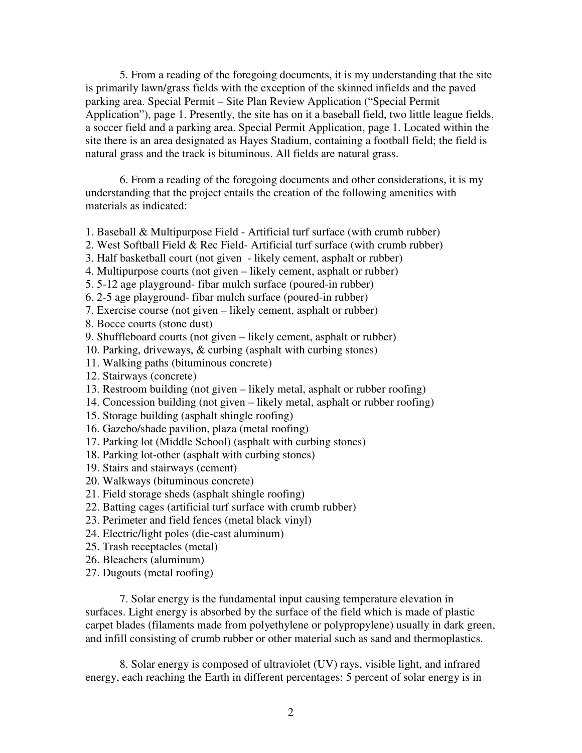5. From a reading of the foregoing documents, it is my understanding that the site is primarily lawn/grass fields with the exception of the skinned infields and the paved parking area. Special Permit – Site Plan Review Application ("Special Permit Application"), page 1. Presently, the site has on it a baseball field, two little league fields, a soccer field and a parking area. Special Permit Application, page 1. Located within the site there is an area designated as Hayes Stadium, containing a football field; the field is natural grass and the track is bituminous. All fields are natural grass.

 6. From a reading of the foregoing documents and other considerations, it is my understanding that the project entails the creation of the following amenities with materials as indicated:

1. Baseball & Multipurpose Field - Artificial turf surface (with crumb rubber)

2. West Softball Field & Rec Field- Artificial turf surface (with crumb rubber)

- 3. Half basketball court (not given likely cement, asphalt or rubber)
- 4. Multipurpose courts (not given likely cement, asphalt or rubber)
- 5. 5-12 age playground- fibar mulch surface (poured-in rubber)
- 6. 2-5 age playground- fibar mulch surface (poured-in rubber)
- 7. Exercise course (not given likely cement, asphalt or rubber)
- 8. Bocce courts (stone dust)
- 9. Shuffleboard courts (not given likely cement, asphalt or rubber)
- 10. Parking, driveways, & curbing (asphalt with curbing stones)
- 11. Walking paths (bituminous concrete)
- 12. Stairways (concrete)
- 13. Restroom building (not given likely metal, asphalt or rubber roofing)
- 14. Concession building (not given likely metal, asphalt or rubber roofing)
- 15. Storage building (asphalt shingle roofing)
- 16. Gazebo/shade pavilion, plaza (metal roofing)
- 17. Parking lot (Middle School) (asphalt with curbing stones)
- 18. Parking lot-other (asphalt with curbing stones)
- 19. Stairs and stairways (cement)
- 20. Walkways (bituminous concrete)
- 21. Field storage sheds (asphalt shingle roofing)
- 22. Batting cages (artificial turf surface with crumb rubber)
- 23. Perimeter and field fences (metal black vinyl)
- 24. Electric/light poles (die-cast aluminum)
- 25. Trash receptacles (metal)
- 26. Bleachers (aluminum)
- 27. Dugouts (metal roofing)

 7. Solar energy is the fundamental input causing temperature elevation in surfaces. Light energy is absorbed by the surface of the field which is made of plastic carpet blades (filaments made from polyethylene or polypropylene) usually in dark green, and infill consisting of crumb rubber or other material such as sand and thermoplastics.

 8. Solar energy is composed of ultraviolet (UV) rays, visible light, and infrared energy, each reaching the Earth in different percentages: 5 percent of solar energy is in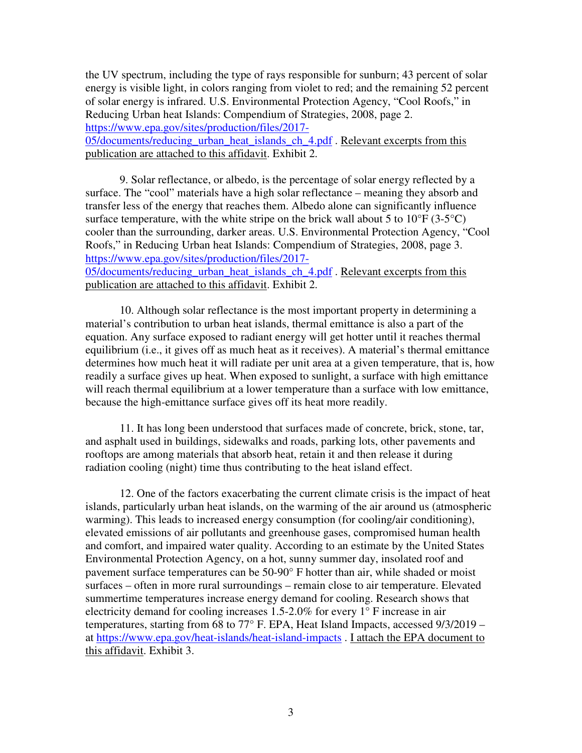the UV spectrum, including the type of rays responsible for sunburn; 43 percent of solar energy is visible light, in colors ranging from violet to red; and the remaining 52 percent of solar energy is infrared. U.S. Environmental Protection Agency, "Cool Roofs," in Reducing Urban heat Islands: Compendium of Strategies, 2008, page 2. https://www.epa.gov/sites/production/files/2017- 05/documents/reducing\_urban\_heat\_islands\_ch\_4.pdf . Relevant excerpts from this publication are attached to this affidavit. Exhibit 2.

 9. Solar reflectance, or albedo, is the percentage of solar energy reflected by a surface. The "cool" materials have a high solar reflectance – meaning they absorb and transfer less of the energy that reaches them. Albedo alone can significantly influence surface temperature, with the white stripe on the brick wall about 5 to  $10^{\circ}F(3.5^{\circ}C)$ cooler than the surrounding, darker areas. U.S. Environmental Protection Agency, "Cool Roofs," in Reducing Urban heat Islands: Compendium of Strategies, 2008, page 3. https://www.epa.gov/sites/production/files/2017- 05/documents/reducing\_urban\_heat\_islands\_ch\_4.pdf . Relevant excerpts from this publication are attached to this affidavit. Exhibit 2.

 10. Although solar reflectance is the most important property in determining a material's contribution to urban heat islands, thermal emittance is also a part of the equation. Any surface exposed to radiant energy will get hotter until it reaches thermal equilibrium (i.e., it gives off as much heat as it receives). A material's thermal emittance determines how much heat it will radiate per unit area at a given temperature, that is, how readily a surface gives up heat. When exposed to sunlight, a surface with high emittance will reach thermal equilibrium at a lower temperature than a surface with low emittance, because the high-emittance surface gives off its heat more readily.

 11. It has long been understood that surfaces made of concrete, brick, stone, tar, and asphalt used in buildings, sidewalks and roads, parking lots, other pavements and rooftops are among materials that absorb heat, retain it and then release it during radiation cooling (night) time thus contributing to the heat island effect.

 12. One of the factors exacerbating the current climate crisis is the impact of heat islands, particularly urban heat islands, on the warming of the air around us (atmospheric warming). This leads to increased energy consumption (for cooling/air conditioning), elevated emissions of air pollutants and greenhouse gases, compromised human health and comfort, and impaired water quality. According to an estimate by the United States Environmental Protection Agency, on a hot, sunny summer day, insolated roof and pavement surface temperatures can be 50-90° F hotter than air, while shaded or moist surfaces – often in more rural surroundings – remain close to air temperature. Elevated summertime temperatures increase energy demand for cooling. Research shows that electricity demand for cooling increases 1.5-2.0% for every 1° F increase in air temperatures, starting from 68 to 77° F. EPA, Heat Island Impacts, accessed 9/3/2019 – at https://www.epa.gov/heat-islands/heat-island-impacts . I attach the EPA document to this affidavit. Exhibit 3.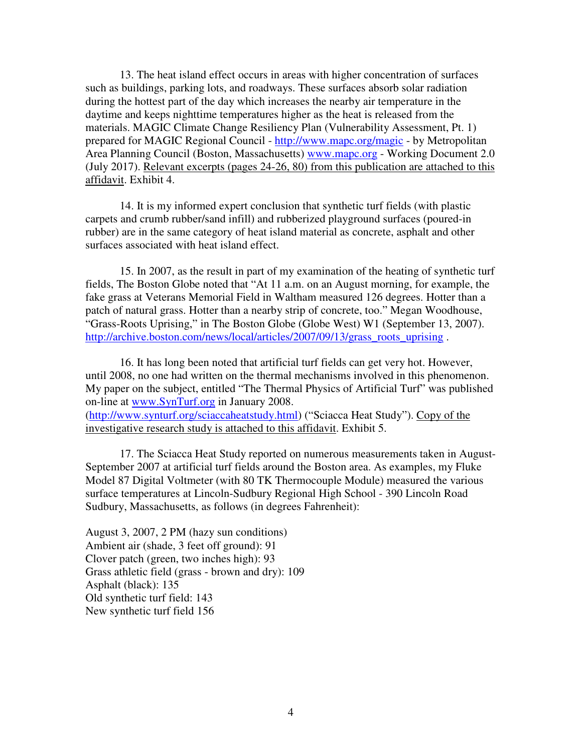13. The heat island effect occurs in areas with higher concentration of surfaces such as buildings, parking lots, and roadways. These surfaces absorb solar radiation during the hottest part of the day which increases the nearby air temperature in the daytime and keeps nighttime temperatures higher as the heat is released from the materials. MAGIC Climate Change Resiliency Plan (Vulnerability Assessment, Pt. 1) prepared for MAGIC Regional Council - http://www.mapc.org/magic - by Metropolitan Area Planning Council (Boston, Massachusetts) www.mapc.org - Working Document 2.0 (July 2017). Relevant excerpts (pages 24-26, 80) from this publication are attached to this affidavit. Exhibit 4.

 14. It is my informed expert conclusion that synthetic turf fields (with plastic carpets and crumb rubber/sand infill) and rubberized playground surfaces (poured-in rubber) are in the same category of heat island material as concrete, asphalt and other surfaces associated with heat island effect.

 15. In 2007, as the result in part of my examination of the heating of synthetic turf fields, The Boston Globe noted that "At 11 a.m. on an August morning, for example, the fake grass at Veterans Memorial Field in Waltham measured 126 degrees. Hotter than a patch of natural grass. Hotter than a nearby strip of concrete, too." Megan Woodhouse, "Grass-Roots Uprising," in The Boston Globe (Globe West) W1 (September 13, 2007). http://archive.boston.com/news/local/articles/2007/09/13/grass\_roots\_uprising .

 16. It has long been noted that artificial turf fields can get very hot. However, until 2008, no one had written on the thermal mechanisms involved in this phenomenon. My paper on the subject, entitled "The Thermal Physics of Artificial Turf" was published on-line at www.SynTurf.org in January 2008.

(http://www.synturf.org/sciaccaheatstudy.html) ("Sciacca Heat Study"). Copy of the investigative research study is attached to this affidavit. Exhibit 5.

 17. The Sciacca Heat Study reported on numerous measurements taken in August-September 2007 at artificial turf fields around the Boston area. As examples, my Fluke Model 87 Digital Voltmeter (with 80 TK Thermocouple Module) measured the various surface temperatures at Lincoln-Sudbury Regional High School - 390 Lincoln Road Sudbury, Massachusetts, as follows (in degrees Fahrenheit):

August 3, 2007, 2 PM (hazy sun conditions) Ambient air (shade, 3 feet off ground): 91 Clover patch (green, two inches high): 93 Grass athletic field (grass - brown and dry): 109 Asphalt (black): 135 Old synthetic turf field: 143 New synthetic turf field 156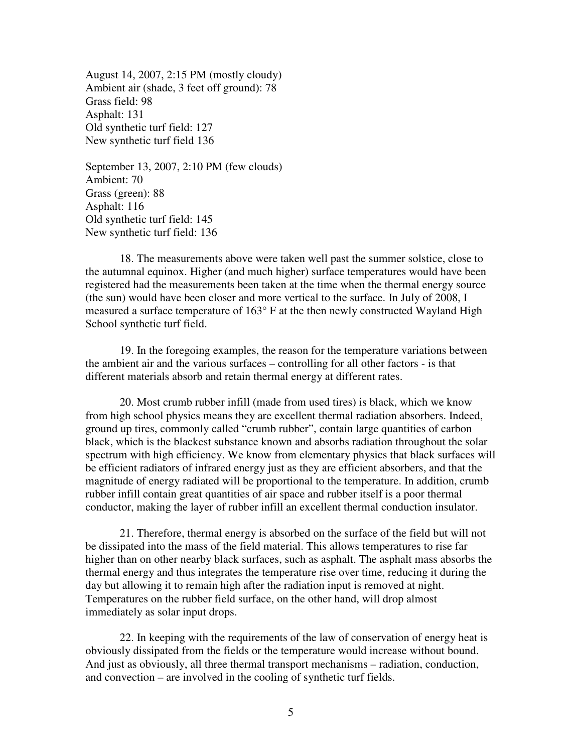August 14, 2007, 2:15 PM (mostly cloudy) Ambient air (shade, 3 feet off ground): 78 Grass field: 98 Asphalt: 131 Old synthetic turf field: 127 New synthetic turf field 136

September 13, 2007, 2:10 PM (few clouds) Ambient: 70 Grass (green): 88 Asphalt: 116 Old synthetic turf field: 145 New synthetic turf field: 136

 18. The measurements above were taken well past the summer solstice, close to the autumnal equinox. Higher (and much higher) surface temperatures would have been registered had the measurements been taken at the time when the thermal energy source (the sun) would have been closer and more vertical to the surface. In July of 2008, I measured a surface temperature of 163° F at the then newly constructed Wayland High School synthetic turf field.

 19. In the foregoing examples, the reason for the temperature variations between the ambient air and the various surfaces – controlling for all other factors - is that different materials absorb and retain thermal energy at different rates.

 20. Most crumb rubber infill (made from used tires) is black, which we know from high school physics means they are excellent thermal radiation absorbers. Indeed, ground up tires, commonly called "crumb rubber", contain large quantities of carbon black, which is the blackest substance known and absorbs radiation throughout the solar spectrum with high efficiency. We know from elementary physics that black surfaces will be efficient radiators of infrared energy just as they are efficient absorbers, and that the magnitude of energy radiated will be proportional to the temperature. In addition, crumb rubber infill contain great quantities of air space and rubber itself is a poor thermal conductor, making the layer of rubber infill an excellent thermal conduction insulator.

 21. Therefore, thermal energy is absorbed on the surface of the field but will not be dissipated into the mass of the field material. This allows temperatures to rise far higher than on other nearby black surfaces, such as asphalt. The asphalt mass absorbs the thermal energy and thus integrates the temperature rise over time, reducing it during the day but allowing it to remain high after the radiation input is removed at night. Temperatures on the rubber field surface, on the other hand, will drop almost immediately as solar input drops.

 22. In keeping with the requirements of the law of conservation of energy heat is obviously dissipated from the fields or the temperature would increase without bound. And just as obviously, all three thermal transport mechanisms – radiation, conduction, and convection – are involved in the cooling of synthetic turf fields.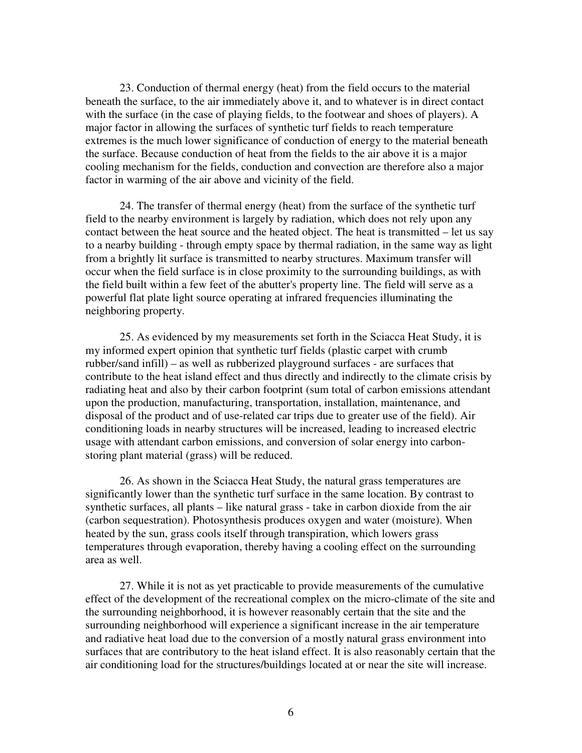23. Conduction of thermal energy (heat) from the field occurs to the material beneath the surface, to the air immediately above it, and to whatever is in direct contact with the surface (in the case of playing fields, to the footwear and shoes of players). A major factor in allowing the surfaces of synthetic turf fields to reach temperature extremes is the much lower significance of conduction of energy to the material beneath the surface. Because conduction of heat from the fields to the air above it is a major cooling mechanism for the fields, conduction and convection are therefore also a major factor in warming of the air above and vicinity of the field.

 24. The transfer of thermal energy (heat) from the surface of the synthetic turf field to the nearby environment is largely by radiation, which does not rely upon any contact between the heat source and the heated object. The heat is transmitted – let us say to a nearby building - through empty space by thermal radiation, in the same way as light from a brightly lit surface is transmitted to nearby structures. Maximum transfer will occur when the field surface is in close proximity to the surrounding buildings, as with the field built within a few feet of the abutter's property line. The field will serve as a powerful flat plate light source operating at infrared frequencies illuminating the neighboring property.

 25. As evidenced by my measurements set forth in the Sciacca Heat Study, it is my informed expert opinion that synthetic turf fields (plastic carpet with crumb rubber/sand infill) – as well as rubberized playground surfaces - are surfaces that contribute to the heat island effect and thus directly and indirectly to the climate crisis by radiating heat and also by their carbon footprint (sum total of carbon emissions attendant upon the production, manufacturing, transportation, installation, maintenance, and disposal of the product and of use-related car trips due to greater use of the field). Air conditioning loads in nearby structures will be increased, leading to increased electric usage with attendant carbon emissions, and conversion of solar energy into carbonstoring plant material (grass) will be reduced.

 26. As shown in the Sciacca Heat Study, the natural grass temperatures are significantly lower than the synthetic turf surface in the same location. By contrast to synthetic surfaces, all plants – like natural grass - take in carbon dioxide from the air (carbon sequestration). Photosynthesis produces oxygen and water (moisture). When heated by the sun, grass cools itself through transpiration, which lowers grass temperatures through evaporation, thereby having a cooling effect on the surrounding area as well.

 27. While it is not as yet practicable to provide measurements of the cumulative effect of the development of the recreational complex on the micro-climate of the site and the surrounding neighborhood, it is however reasonably certain that the site and the surrounding neighborhood will experience a significant increase in the air temperature and radiative heat load due to the conversion of a mostly natural grass environment into surfaces that are contributory to the heat island effect. It is also reasonably certain that the air conditioning load for the structures/buildings located at or near the site will increase.